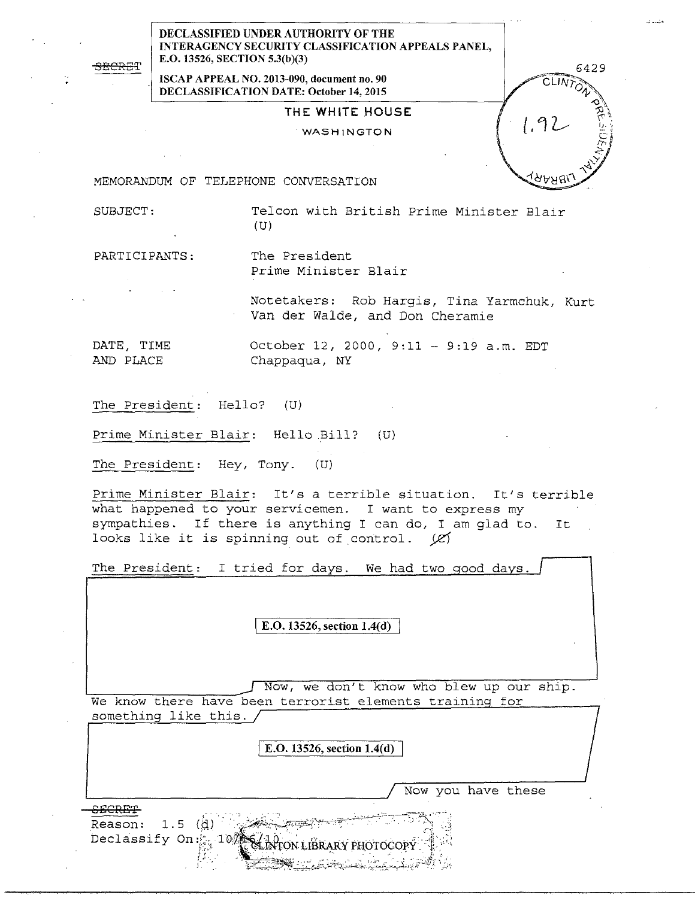<del>SECRE</del>T

DECLASSIFIED UNDER AUTHORITY OF THE INTERAGENCY SECURITY CLASSIFICATION APPEALS PANEL, E.0.13526, SECTION 5.3(b)(3)

ISCAP APPEAL NO. 2013-090, document no. 90 DECLASSIFICATION DATE: October 14, 2015

## THE WHITE HOUSE

WASHINGTON

6429

*.;\_...:..* 

MEMORANDUM OF TELEPHONE CONVERSATION

SUBJECT: Telcon with British Prime Minister Blair (U)

PARTICIPANTS: The President

Prime Minister Blair

Notetakers: Rob Hargis, Tina Yarmchuk, Kurt Van der Walde, and Don Cheramie

DATE, TIME October 12, 2000, 9:11 - 9:19 a.m. EDT AND PLACE Chappaqua, NY

The President: Hello? (U)

Prime Minister Blair: Hello Bill? (U)

The President: Hey, Tony. (U)

Prime Minister Blair: It's a terrible situation. It's terrible what happened to your servicemen. I want to express my sympathies. If there is anything I can do, I am glad to. It looks like it is spinning out of control.  $\varnothing$ 

The President: I tried for days. We had two good days

I E.O. 13526, section 1.4(d)

Now, we don't know who blew up our ship. We know there have been terrorist elements training for something like this.

I E.O. 13526, section 1.4(d)

Now you have these

**SECRET** 

Reason:  $1.5$  (d) Declassify On:  $-10.$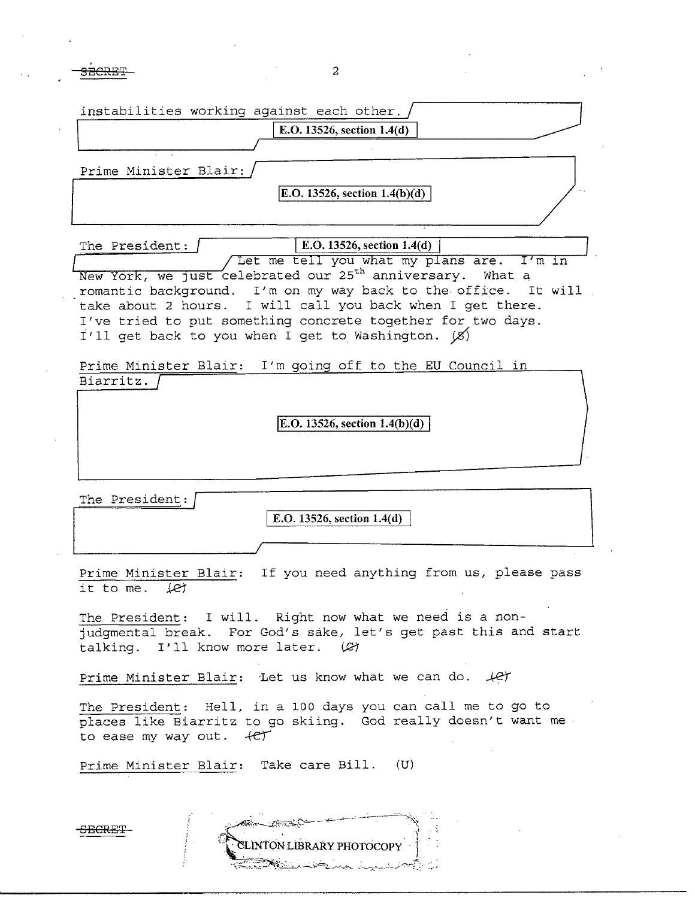SECRET 2

| instabilities working against each other.<br>E.O. 13526, section 1.4(d)                                                                                                                                                                                                                                                                                                                                                   |
|---------------------------------------------------------------------------------------------------------------------------------------------------------------------------------------------------------------------------------------------------------------------------------------------------------------------------------------------------------------------------------------------------------------------------|
| Prime Minister Blair:<br>E.O. 13526, section $1.4(b)(d)$                                                                                                                                                                                                                                                                                                                                                                  |
| E.O. 13526, section 1.4(d)<br>The President: /<br>Let me tell you what my plans are. I'm in<br>New York, we just celebrated our 25 <sup>th</sup> anniversary. What a<br>romantic background. I'm on my way back to the office. It will<br>take about 2 hours. I will call you back when I get there.<br>I've tried to put something concrete together for two days.<br>I'll get back to you when I get to Washington. (8) |
| Prime Minister Blair: I'm going off to the EU Council in<br>Biarritz.<br>E.O. 13526, section $1.4(b)(d)$                                                                                                                                                                                                                                                                                                                  |
| The President:<br>E.O. 13526, section 1.4(d)                                                                                                                                                                                                                                                                                                                                                                              |
| Prime Minister Blair: If you need anything from us, please pass<br>it to me. Let                                                                                                                                                                                                                                                                                                                                          |
| The President: I will. Right now what we need is a non-<br>judgmental break. For God's sake, let's get past this and start<br>talking. I'll know more later. (2)                                                                                                                                                                                                                                                          |
| Prime Minister Blair: Let us know what we can do. 4er<br>The President: Hell, in a 100 days you can call me to go to                                                                                                                                                                                                                                                                                                      |

places like Biarritz to go skiing. God really doesn't want me to ease my way out.  $4e^{t}$ 

Prime Minister Blair: Take care Bill. (U)

**SECRET**